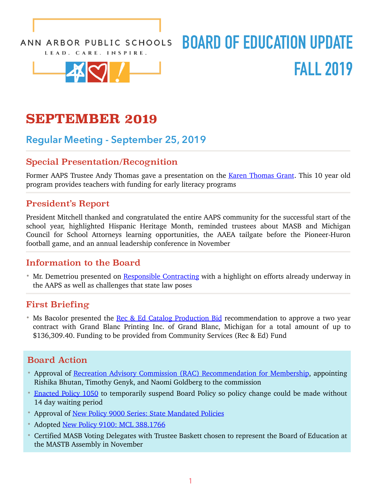ANN ARBOR PUBLIC SCHOOLS LEAD. CARE. INSPIRE.



# **BOARD OF EDUCATION UPDATE FALL 2019**

# **SEPTEMBER 2019**

### **Regular Meeting - September 25, 2019**

### Special Presentation/Recognition

Former AAPS Trustee Andy Thomas gave a presentation on the [Karen Thomas Grant](http://go.boarddocs.com/mi/aaps/Board.nsf/goto?open&id=BGAGW545BE6A). This 10 year old program provides teachers with funding for early literacy programs

### President's Report

President Mitchell thanked and congratulated the entire AAPS community for the successful start of the school year, highlighted Hispanic Heritage Month, reminded trustees about MASB and Michigan Council for School Attorneys learning opportunities, the AAEA tailgate before the Pioneer-Huron football game, and an annual leadership conference in November

### Information to the Board

• Mr. Demetriou presented on [Responsible Contracting](http://go.boarddocs.com/mi/aaps/Board.nsf/goto?open&id=BGBQGY692B99) with a highlight on efforts already underway in the AAPS as well as challenges that state law poses

### First Briefing

• Ms Bacolor presented the [Rec & Ed Catalog Production Bid](http://go.boarddocs.com/mi/aaps/Board.nsf/goto?open&id=BG4LCB532AD2) recommendation to approve a two year contract with Grand Blanc Printing Inc. of Grand Blanc, Michigan for a total amount of up to \$136,309.40. Funding to be provided from Community Services (Rec & Ed) Fund

### Board Action

- Approval of [Recreation Advisory Commission \(RAC\) Recommendation for Membership](http://go.boarddocs.com/mi/aaps/Board.nsf/goto?open&id=BG4LDT53D596), appointing Rishika Bhutan, Timothy Genyk, and Naomi Goldberg to the commission
- [Enacted Policy 1050](http://go.boarddocs.com/mi/aaps/Board.nsf/goto?open&id=BG4H4K4621B8) to temporarily suspend Board Policy so policy change could be made without 14 day waiting period
- Approval of <u>New Policy 9000 Series: State Mandated Policies</u>
- Adopted [New Policy 9100: MCL 388.1766](http://go.boarddocs.com/mi/aaps/Board.nsf/goto?open&id=BGCVJA80F171)
- Certified MASB Voting Delegates with Trustee Baskett chosen to represent the Board of Education at the MASTB Assembly in November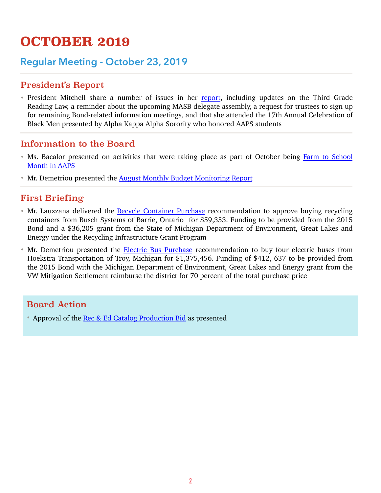# **OCTOBER 2019**

### **Regular Meeting - October 23, 2019**

### President's Report

• President Mitchell share a number of issues in her [report](http://go.boarddocs.com/mi/aaps/Board.nsf/goto?open&id=BFEMZA5CC81D), including updates on the Third Grade Reading Law, a reminder about the upcoming MASB delegate assembly, a request for trustees to sign up for remaining Bond-related information meetings, and that she attended the 17th Annual Celebration of Black Men presented by Alpha Kappa Alpha Sorority who honored AAPS students

### Information to the Board

- [Ms. Bacalor presented on activities that were taking place as part of October being Farm to School](http://go.boarddocs.com/mi/aaps/Board.nsf/goto?open&id=BH3QRA6A83BB) Month in AAPS
- Mr. Demetriou presented the [August Monthly Budget Monitoring Report](http://go.boarddocs.com/mi/aaps/Board.nsf/goto?open&id=BGKQDF680698)

### First Briefing

- Mr. Lauzzana delivered the [Recycle Container Purchase](http://go.boarddocs.com/mi/aaps/Board.nsf/goto?open&id=BGKQA267A8C4) recommendation to approve buying recycling containers from Busch Systems of Barrie, Ontario for \$59,353. Funding to be provided from the 2015 Bond and a \$36,205 grant from the State of Michigan Department of Environment, Great Lakes and Energy under the Recycling Infrastructure Grant Program
- Mr. Demetriou presented the [Electric Bus Purchase](http://go.boarddocs.com/mi/aaps/Board.nsf/goto?open&id=BGKQD767F8CB) recommendation to buy four electric buses from Hoekstra Transportation of Troy, Michigan for \$1,375,456. Funding of \$412, 637 to be provided from the 2015 Bond with the Michigan Department of Environment, Great Lakes and Energy grant from the VW Mitigation Settlement reimburse the district for 70 percent of the total purchase price

### Board Action

• Approval of the [Rec & Ed Catalog Production Bid](http://go.boarddocs.com/mi/aaps/Board.nsf/goto?open&id=BH3Q7B67896C) as presented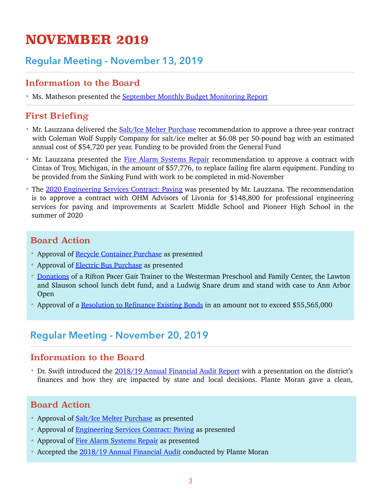# **NOVEMBER 2019**

### **Regular Meeting - November 13, 2019**

### Information to the Board

• Ms. Matheson presented the [September Monthly Budget Monitoring Report](http://go.boarddocs.com/mi/aaps/Board.nsf/goto?open&id=BH3PAT62E408)

### First Briefing

- Mr. Lauzzana delivered the [Salt/Ice Melter Purchase](http://go.boarddocs.com/mi/aaps/Board.nsf/goto?open&id=BHNLE656218D) recommendation to approve a three-year contract with Coleman Wolf Supply Company for salt/ice melter at \$6.08 per 50-pound bag with an estimated annual cost of \$54,720 per year. Funding to be provided from the General Fund
- Mr. Lauzzana presented the [Fire Alarm Systems Repair](http://go.boarddocs.com/mi/aaps/Board.nsf/goto?open&id=BHNSQE73BBD4) recommendation to approve a contract with Cintas of Troy, Michigan, in the amount of \$57,776, to replace failing fire alarm equipment. Funding to be provided from the Sinking Fund with work to be completed in mid-November
- The [2020 Engineering Services Contract: Paving](http://go.boarddocs.com/mi/aaps/Board.nsf/goto?open&id=BHNSQD73B9E6) was presented by Mr. Lauzzana. The recommendation is to approve a contract with OHM Advisors of Livonia for \$148,800 for professional engineering services for paving and improvements at Scarlett Middle School and Pioneer High School in the summer of 2020

### Board Action

- Approval of [Recycle Container Purchase](http://go.boarddocs.com/mi/aaps/Board.nsf/goto?open&id=BHNLEU563572) as presented
- Approval of **[Electric Bus Purchase](http://go.boarddocs.com/mi/aaps/Board.nsf/goto?open&id=BHNLEG563274)** as presented
- [Donations](http://go.boarddocs.com/mi/aaps/Board.nsf/goto?open&id=BH3PB862E415) of a Rifton Pacer Gait Trainer to the Westerman Preschool and Family Center, the Lawton and Slauson school lunch debt fund, and a Ludwig Snare drum and stand with case to Ann Arbor Open
- Approval of a [Resolution to Refinance Existing Bonds](http://go.boarddocs.com/mi/aaps/Board.nsf/goto?open&id=BH3PAY62E40D) in an amount not to exceed \$55,565,000

### **Regular Meeting - November 20, 2019**

### Information to the Board

• Dr. Swift introduced the [2018/19 Annual Financial Audit Report](http://go.boarddocs.com/mi/aaps/Board.nsf/goto?open&id=BJ2JLD4CA107) with a presentation on the district's finances and how they are impacted by state and local decisions. Plante Moran gave a clean,

### Board Action

- Approval of [Salt/Ice Melter Purchase](http://go.boarddocs.com/mi/aaps/Board.nsf/goto?open&id=BJ2JKE4C7A52) as presented
- Approval of [Engineering Services Contract: Paving](http://go.boarddocs.com/mi/aaps/Board.nsf/goto?open&id=BJ2JKP4C7D5B) as presented
- Approval of [Fire Alarm Systems Repair](http://go.boarddocs.com/mi/aaps/Board.nsf/goto?open&id=BJ2JKZ4C8981) as presented
- Accepted the [2018/19 Annual Financial Audit](http://go.boarddocs.com/mi/aaps/Board.nsf/goto?open&id=BJ2JLZ4CB57D) conducted by Plante Moran